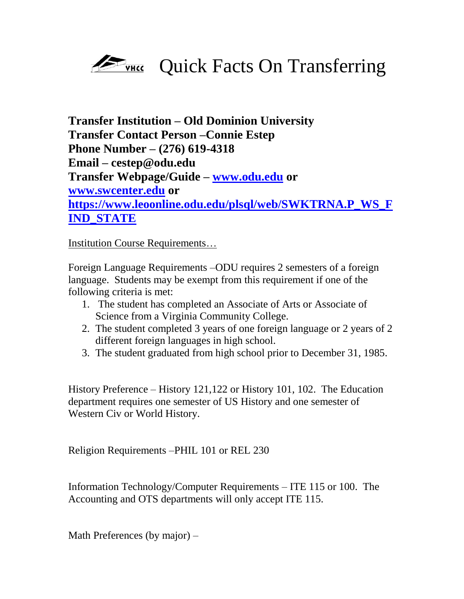

**Transfer Institution – Old Dominion University Transfer Contact Person –Connie Estep Phone Number – (276) 619-4318 Email – cestep@odu.edu Transfer Webpage/Guide – [www.odu.edu](http://www.odu.edu/) or [www.swcenter.edu](http://www.swcenter.edu/) or [https://www.leoonline.odu.edu/plsql/web/SWKTRNA.P\\_WS\\_F](https://www.leoonline.odu.edu/plsql/web/SWKTRNA.P_WS_FIND_STATE) [IND\\_STATE](https://www.leoonline.odu.edu/plsql/web/SWKTRNA.P_WS_FIND_STATE)**

Institution Course Requirements…

Foreign Language Requirements –ODU requires 2 semesters of a foreign language. Students may be exempt from this requirement if one of the following criteria is met:

- 1. The student has completed an Associate of Arts or Associate of Science from a Virginia Community College.
- 2. The student completed 3 years of one foreign language or 2 years of 2 different foreign languages in high school.
- 3. The student graduated from high school prior to December 31, 1985.

History Preference – History 121,122 or History 101, 102. The Education department requires one semester of US History and one semester of Western Civ or World History.

Religion Requirements –PHIL 101 or REL 230

Information Technology/Computer Requirements – ITE 115 or 100. The Accounting and OTS departments will only accept ITE 115.

Math Preferences (by major) –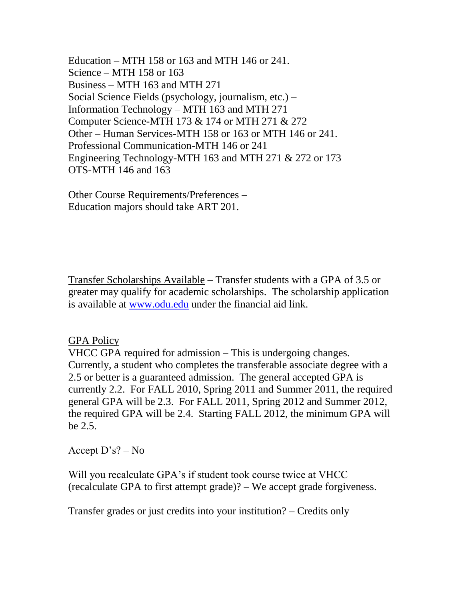Education – MTH 158 or 163 and MTH 146 or 241. Science – MTH 158 or 163 Business – MTH 163 and MTH 271 Social Science Fields (psychology, journalism, etc.) – Information Technology – MTH 163 and MTH 271 Computer Science-MTH 173 & 174 or MTH 271 & 272 Other – Human Services-MTH 158 or 163 or MTH 146 or 241. Professional Communication-MTH 146 or 241 Engineering Technology-MTH 163 and MTH 271 & 272 or 173 OTS-MTH 146 and 163

Other Course Requirements/Preferences – Education majors should take ART 201.

Transfer Scholarships Available – Transfer students with a GPA of 3.5 or greater may qualify for academic scholarships. The scholarship application is available at [www.odu.edu](http://www.odu.edu/) under the financial aid link.

## GPA Policy

VHCC GPA required for admission – This is undergoing changes. Currently, a student who completes the transferable associate degree with a 2.5 or better is a guaranteed admission. The general accepted GPA is currently 2.2. For FALL 2010, Spring 2011 and Summer 2011, the required general GPA will be 2.3. For FALL 2011, Spring 2012 and Summer 2012, the required GPA will be 2.4. Starting FALL 2012, the minimum GPA will be 2.5.

Accept D's? – No

Will you recalculate GPA's if student took course twice at VHCC (recalculate GPA to first attempt grade)? – We accept grade forgiveness.

Transfer grades or just credits into your institution? – Credits only